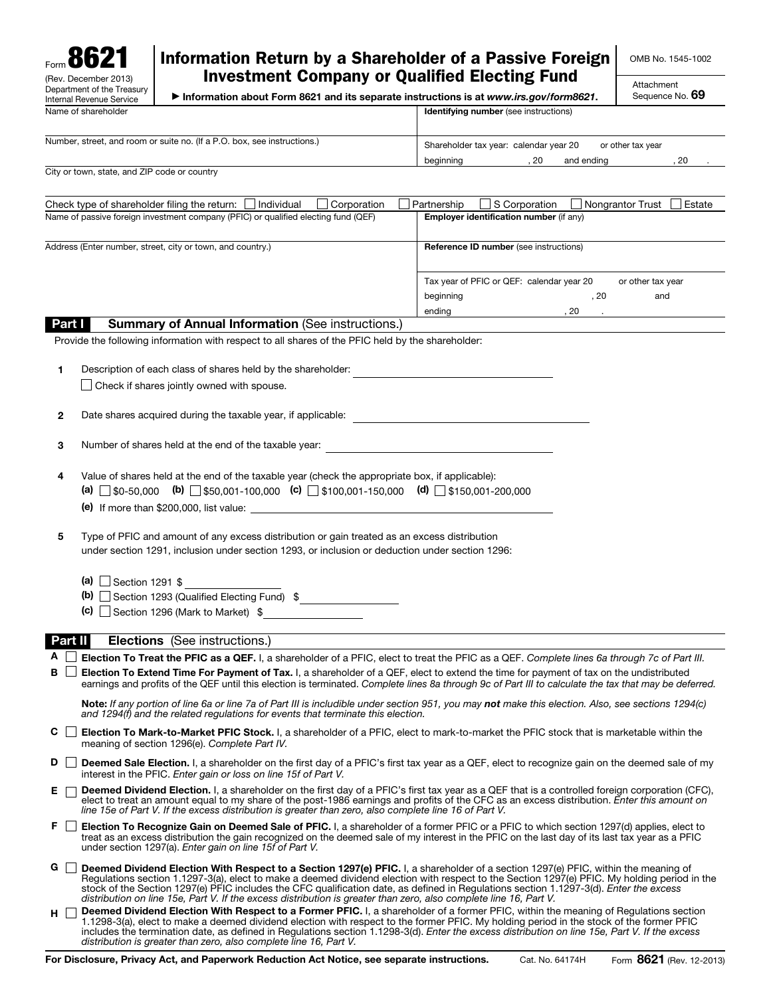

## Information Return by a Shareholder of a Passive Foreign Investment Company or Qualified Electing Fund

OMB No. 1545-1002

Attachment Sequence No. 69

▶ Information about Form 8621 and its separate instructions is at *www.irs.gov/form8621*.

| Name of shareholder                                                      | <b>Identifying number</b> (see instructions)                |  |  |  |  |
|--------------------------------------------------------------------------|-------------------------------------------------------------|--|--|--|--|
| Number, street, and room or suite no. (If a P.O. box, see instructions.) | Shareholder tax year: calendar year 20<br>or other tax vear |  |  |  |  |
|                                                                          | -20<br>20<br>and ending<br>beainnina                        |  |  |  |  |

City or town, state, and ZIP code or country

| Check type of shareholder filing the return: $\Box$ Individual<br>Corporation      | Estate<br>Nongrantor Trust<br>S Corporation<br>Partnership     |  |  |  |
|------------------------------------------------------------------------------------|----------------------------------------------------------------|--|--|--|
| Name of passive foreign investment company (PFIC) or qualified electing fund (QEF) | Employer identification number (if any)                        |  |  |  |
|                                                                                    |                                                                |  |  |  |
| Address (Enter number, street, city or town, and country.)                         | <b>Reference ID number</b> (see instructions)                  |  |  |  |
|                                                                                    |                                                                |  |  |  |
|                                                                                    | Tax year of PFIC or QEF: calendar year 20<br>or other tax year |  |  |  |
|                                                                                    | beginning<br>and<br>. 20                                       |  |  |  |
|                                                                                    | ending<br>20                                                   |  |  |  |

## **Part I** Summary of Annual Information (See instructions.)

Provide the following information with respect to all shares of the PFIC held by the shareholder:

| Description of each class of shares held by the shareholder: |
|--------------------------------------------------------------|
| $\Box$ Check if shares jointly owned with spouse.            |

2 Date shares acquired during the taxable year, if applicable:

| 3 | Number of shares held at the end of the taxable year: |  |
|---|-------------------------------------------------------|--|
|---|-------------------------------------------------------|--|

- 4 Value of shares held at the end of the taxable year (check the appropriate box, if applicable): (a)  $\Box$  \$0-50,000 (b)  $\Box$  \$50,001-100,000 (c)  $\Box$  \$100,001-150,000 (d)  $\Box$  \$150,001-200,000 (e) If more than \$200,000, list value:
- 5 Type of PFIC and amount of any excess distribution or gain treated as an excess distribution under section 1291, inclusion under section 1293, or inclusion or deduction under section 1296:

|  |  | (a) $\Box$ Section 1291 \$ |  |  |
|--|--|----------------------------|--|--|
|--|--|----------------------------|--|--|

- (b)  $\Box$  Section 1293 (Qualified Electing Fund) \$
- (c)  $\Box$  Section 1296 (Mark to Market) \$

Part II **Elections** (See instructions.)

A Election To Treat the PFIC as a QEF. I, a shareholder of a PFIC, elect to treat the PFIC as a QEF. *Complete lines 6a through 7c of Part III.* 

 $\mathbf{B}$   $\Box$  Election To Extend Time For Payment of Tax. I, a shareholder of a QEF, elect to extend the time for payment of tax on the undistributed earnings and profits of the QEF until this election is terminated. *Complete lines 8a through 9c of Part III to calculate the tax that may be deferred.* 

Note: *If any portion of line 6a or line 7a of Part III is includible under section 951, you may not make this election. Also, see sections 1294(c) and 1294(f) and the related regulations for events that terminate this election.* 

- C □ Election To Mark-to-Market PFIC Stock. I, a shareholder of a PFIC, elect to mark-to-market the PFIC stock that is marketable within the meaning of section 1296(e). *Complete Part IV.*
- D  $\Box$  Deemed Sale Election. I, a shareholder on the first day of a PFIC's first tax year as a QEF, elect to recognize gain on the deemed sale of my interest in the PFIC. *Enter gain or loss on line 15f of Part V.*
- E **Deemed Dividend Election.** I, a shareholder on the first day of a PFIC's first tax year as a QEF that is a controlled foreign corporation (CFC), elect to treat an amount equal to my share of the post-1986 earnings and profits of the CFC as an excess distribution. *Enter this amount on line 15e of Part V. If the excess distribution is greater than zero, also complete line 16 of Part V.*
- F **Election To Recognize Gain on Deemed Sale of PFIC.** I, a shareholder of a former PFIC or a PFIC to which section 1297(d) applies, elect to treat as an excess distribution the gain recognized on the deemed sale of my interest in the PFIC on the last day of its last tax year as a PFIC under section 1297(a). *Enter gain on line 15f of Part V.*
- G  $\Box$  Deemed Dividend Election With Respect to a Section 1297(e) PFIC. I, a shareholder of a section 1297(e) PFIC, within the meaning of Regulations section 1.1297-3(a), elect to make a deemed dividend election with respect to the Section 1297(e) PFIC. My holding period in the stock of the Section 1297(e) PFIC includes the CFC qualification date, as defined in Regulations section 1.1297-3(d). *Enter the excess distribution on line 15e, Part V. If the excess distribution is greater than zero, also complete line 16, Part V.*
- H  $\Box$  Deemed Dividend Election With Respect to a Former PFIC. I, a shareholder of a former PFIC, within the meaning of Regulations section 1.1298-3(a), elect to make a deemed dividend election with respect to the former PFIC. My holding period in the stock of the former PFIC includes the termination date, as defined in Regulations section 1.1298-3(d). *Enter the excess distribution on line 15e, Part V. If the excess distribution is greater than zero, also complete line 16, Part V.*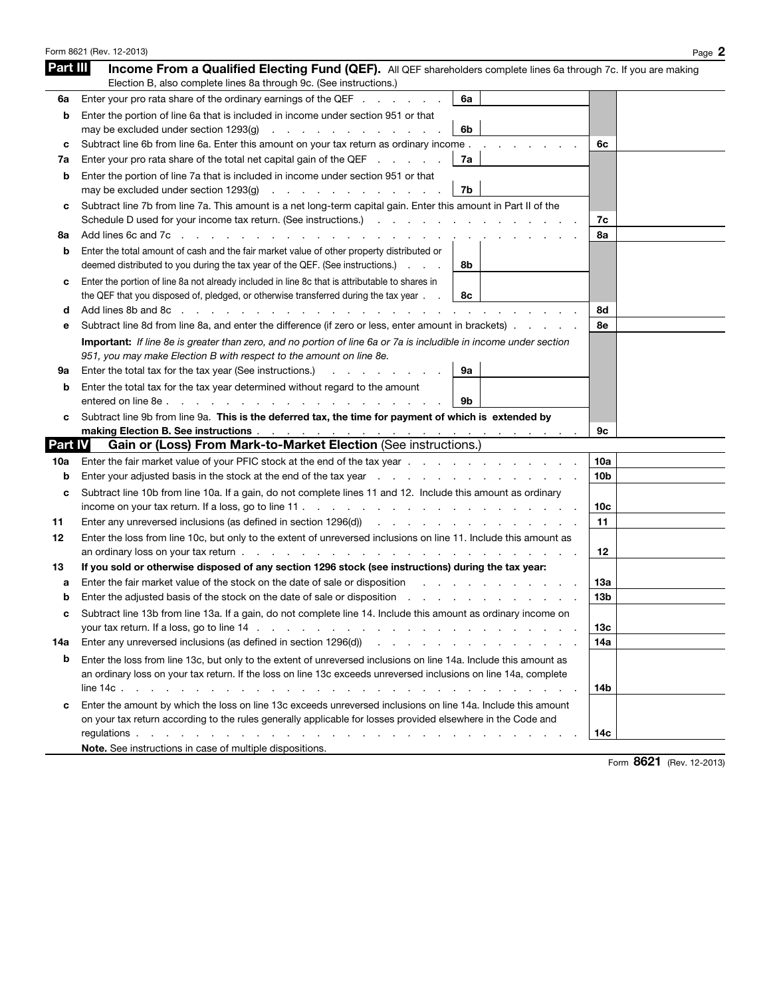|                | Form 8621 (Rev. 12-2013)                                                                                                                                                                                                                                                                                                                    | Page 2     |
|----------------|---------------------------------------------------------------------------------------------------------------------------------------------------------------------------------------------------------------------------------------------------------------------------------------------------------------------------------------------|------------|
| Part III       | Income From a Qualified Electing Fund (QEF). All QEF shareholders complete lines 6a through 7c. If you are making<br>Election B, also complete lines 8a through 9c. (See instructions.)                                                                                                                                                     |            |
| 6a             | Enter your pro rata share of the ordinary earnings of the QEF<br>6a                                                                                                                                                                                                                                                                         |            |
| b              | Enter the portion of line 6a that is included in income under section 951 or that                                                                                                                                                                                                                                                           |            |
|                | 6b<br>may be excluded under section 1293(g)<br>and the company of the company of the company                                                                                                                                                                                                                                                |            |
| с              | Subtract line 6b from line 6a. Enter this amount on your tax return as ordinary income.                                                                                                                                                                                                                                                     | 6с         |
| 7а             | Enter your pro rata share of the total net capital gain of the QEF<br>7a                                                                                                                                                                                                                                                                    |            |
| b              | Enter the portion of line 7a that is included in income under section 951 or that<br>7b<br>may be excluded under section 1293(g)<br>the contract of the contract of the contract of                                                                                                                                                         |            |
| с              | Subtract line 7b from line 7a. This amount is a net long-term capital gain. Enter this amount in Part II of the                                                                                                                                                                                                                             | 7с         |
| 8a             | Add lines 6c and 7c                                                                                                                                                                                                                                                                                                                         | 8а         |
| b              | Enter the total amount of cash and the fair market value of other property distributed or<br>deemed distributed to you during the tax year of the QEF. (See instructions.)<br>8b                                                                                                                                                            |            |
| с              | Enter the portion of line 8a not already included in line 8c that is attributable to shares in<br>the QEF that you disposed of, pledged, or otherwise transferred during the tax year.<br>8с                                                                                                                                                |            |
| d              | Add lines 8b and 8c                                                                                                                                                                                                                                                                                                                         | 8d         |
| е              | Subtract line 8d from line 8a, and enter the difference (if zero or less, enter amount in brackets).                                                                                                                                                                                                                                        | 8e         |
|                | Important: If line 8e is greater than zero, and no portion of line 6a or 7a is includible in income under section<br>951, you may make Election B with respect to the amount on line 8e.                                                                                                                                                    |            |
| 9а             | Enter the total tax for the tax year (See instructions.)<br>9a<br>والوالد والمناول والمراوي                                                                                                                                                                                                                                                 |            |
| b              | Enter the total tax for the tax year determined without regard to the amount<br>entered on line 8e.<br>9b<br>and the contract of the contract of the contract of the contract of the contract of the contract of the contract of the contract of the contract of the contract of the contract of the contract of the contract of the contra |            |
| c              | Subtract line 9b from line 9a. This is the deferred tax, the time for payment of which is extended by<br>making Election B. See instructions enter the state of the state of the state of the state of the state of the                                                                                                                     | 9с         |
| <b>Part IV</b> | Gain or (Loss) From Mark-to-Market Election (See instructions.)                                                                                                                                                                                                                                                                             |            |
| 10a            | Enter the fair market value of your PFIC stock at the end of the tax year                                                                                                                                                                                                                                                                   | 10a        |
| b              | Enter your adjusted basis in the stock at the end of the tax year reference of the tax of the tax year factor of the tax year factor of the tax year factor of the stock of the stock of the tax year.                                                                                                                                      | 10b        |
| c              | Subtract line 10b from line 10a. If a gain, do not complete lines 11 and 12. Include this amount as ordinary                                                                                                                                                                                                                                |            |
|                | income on your tax return. If a loss, go to line $11 \ldots$ , and $11 \ldots$ , and $11 \ldots$ , and $11 \ldots$ , and $11 \ldots$                                                                                                                                                                                                        | 10c        |
| 11             | Enter any unreversed inclusions (as defined in section 1296(d)) results and contact the control of the control of the control of the control of the control of the control of the control of the control of the control of the                                                                                                              | 11         |
| 12             | Enter the loss from line 10c, but only to the extent of unreversed inclusions on line 11. Include this amount as                                                                                                                                                                                                                            |            |
|                |                                                                                                                                                                                                                                                                                                                                             | 12         |
| 13             | If you sold or otherwise disposed of any section 1296 stock (see instructions) during the tax year:                                                                                                                                                                                                                                         |            |
| а              | Enter the fair market value of the stock on the date of sale or disposition                                                                                                                                                                                                                                                                 | 13а        |
| b              | Enter the adjusted basis of the stock on the date of sale or disposition                                                                                                                                                                                                                                                                    | 13b        |
| с              | Subtract line 13b from line 13a. If a gain, do not complete line 14. Include this amount as ordinary income on                                                                                                                                                                                                                              |            |
| 14a            | Enter any unreversed inclusions (as defined in section 1296(d)) and the contract of the contract of the contract of the contract of the contract of the contract of the contract of the contract of the contract of the contra                                                                                                              | 13c<br>14a |
|                |                                                                                                                                                                                                                                                                                                                                             |            |
| b              | Enter the loss from line 13c, but only to the extent of unreversed inclusions on line 14a. Include this amount as<br>an ordinary loss on your tax return. If the loss on line 13c exceeds unreversed inclusions on line 14a, complete                                                                                                       |            |
|                |                                                                                                                                                                                                                                                                                                                                             | 14b        |
| c              | Enter the amount by which the loss on line 13c exceeds unreversed inclusions on line 14a. Include this amount<br>on your tax return according to the rules generally applicable for losses provided elsewhere in the Code and                                                                                                               |            |
|                |                                                                                                                                                                                                                                                                                                                                             | 14с        |
|                | Note. See instructions in case of multiple dispositions.                                                                                                                                                                                                                                                                                    |            |

Form 8621 (Rev. 12-2013)